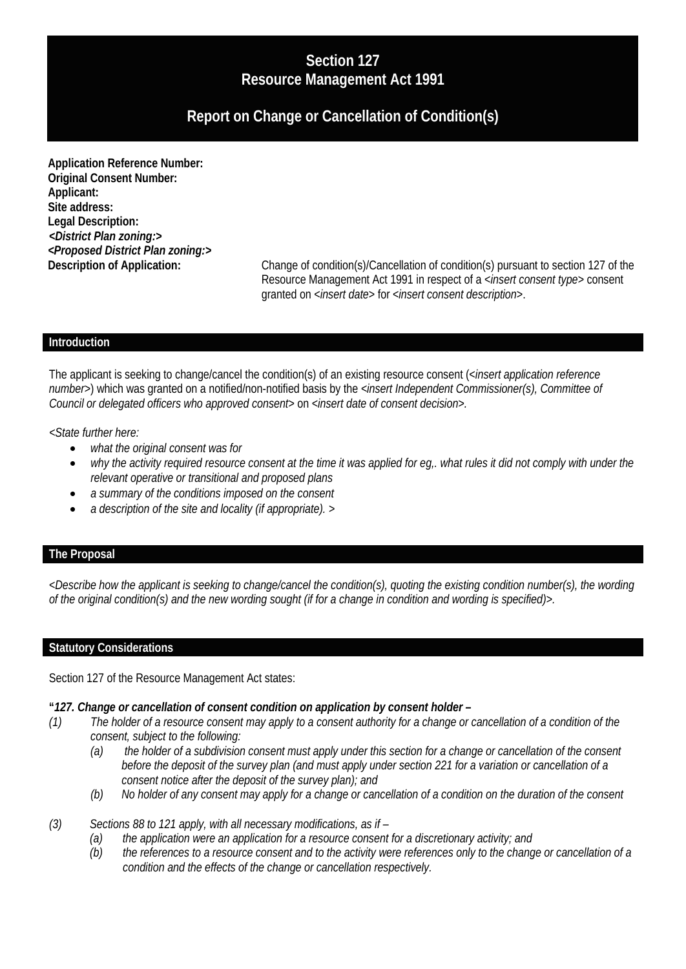## **Section 127 Resource Management Act 1991**

# **Report on Change or Cancellation of Condition(s)**

**Application Reference Number: Original Consent Number: Applicant: Site address: Legal Description:** *<District Plan zoning:> <Proposed District Plan zoning:>*

**Description of Application:** Change of condition(s)/Cancellation of condition(s) pursuant to section 127 of the Resource Management Act 1991 in respect of a <*insert consent type>* consent granted on <*insert date*> for <*insert consent description*>.

#### **Introduction**

The applicant is seeking to change/cancel the condition(s) of an existing resource consent (<*insert application reference number*>) which was granted on a notified/non-notified basis by the *<insert Independent Commissioner(s), Committee of Council or delegated officers who approved consent>* on <*insert date of consent decision>.*

*<State further here:*

- *what the original consent was for*
- *why the activity required resource consent at the time it was applied for eg,. what rules it did not comply with under the relevant operative or transitional and proposed plans*
- *a summary of the conditions imposed on the consent*
- *a description of the site and locality (if appropriate). >*

### **The Proposal**

*<Describe how the applicant is seeking to change/cancel the condition(s), quoting the existing condition number(s), the wording of the original condition(s) and the new wording sought (if for a change in condition and wording is specified)>.*

#### **Statutory Considerations**

Section 127 of the Resource Management Act states:

#### **"***127. Change or cancellation of consent condition on application by consent holder –*

- *(1) The holder of a resource consent may apply to a consent authority for a change or cancellation of a condition of the consent, subject to the following:*
	- *(a) the holder of a subdivision consent must apply under this section for a change or cancellation of the consent before the deposit of the survey plan (and must apply under section 221 for a variation or cancellation of a consent notice after the deposit of the survey plan); and*
	- *(b) No holder of any consent may apply for a change or cancellation of a condition on the duration of the consent*
- *(3) Sections 88 to 121 apply, with all necessary modifications, as if –*
	- *(a) the application were an application for a resource consent for a discretionary activity; and*
	- *(b) the references to a resource consent and to the activity were references only to the change or cancellation of a condition and the effects of the change or cancellation respectively.*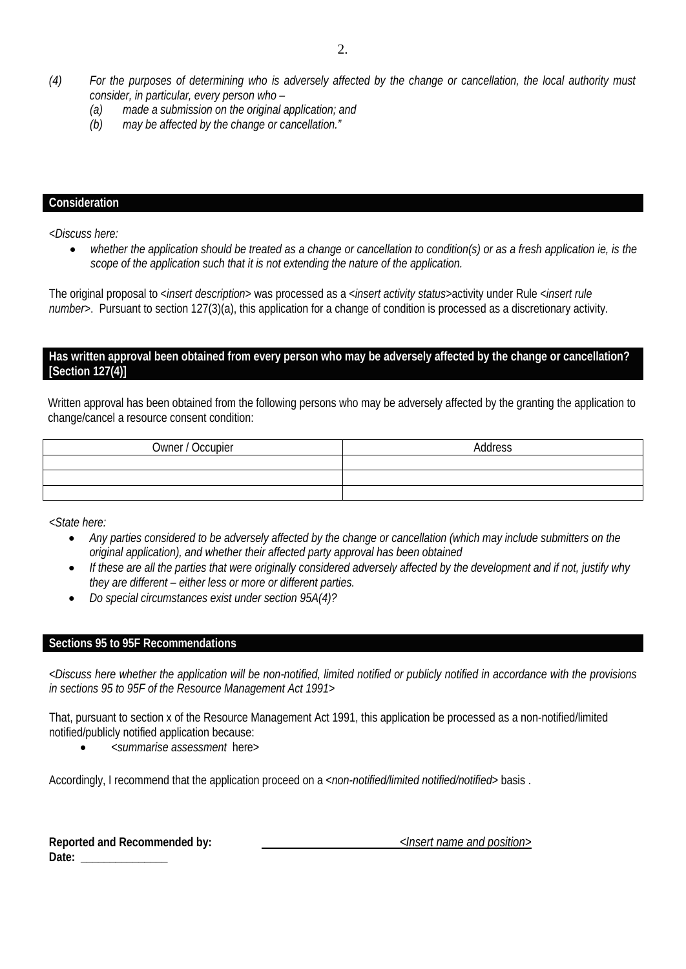- *(4) For the purposes of determining who is adversely affected by the change or cancellation, the local authority must consider, in particular, every person who –*
	- *(a) made a submission on the original application; and*
	- *(b) may be affected by the change or cancellation."*

## **Consideration**

*<Discuss here:*

• *whether the application should be treated as a change or cancellation to condition(s) or as a fresh application ie, is the scope of the application such that it is not extending the nature of the application.*

The original proposal to <*insert description*> was processed as a <*insert activity status*>activity under Rule <*insert rule number*>. Pursuant to section 127(3)(a), this application for a change of condition is processed as a discretionary activity.

### **Has written approval been obtained from every person who may be adversely affected by the change or cancellation? [Section 127(4)]**

Written approval has been obtained from the following persons who may be adversely affected by the granting the application to change/cancel a resource consent condition:

| Owner / Occupier | Address |
|------------------|---------|
|                  |         |
|                  |         |
|                  |         |

*<State here:*

- *Any parties considered to be adversely affected by the change or cancellation (which may include submitters on the original application), and whether their affected party approval has been obtained*
- *If these are all the parties that were originally considered adversely affected by the development and if not, justify why they are different – either less or more or different parties.*
- *Do special circumstances exist under section 95A(4)?*

## **Sections 95 to 95F Recommendations**

*<Discuss here whether the application will be non-notified, limited notified or publicly notified in accordance with the provisions in sections 95 to 95F of the Resource Management Act 1991>*

That, pursuant to section x of the Resource Management Act 1991, this application be processed as a non-notified/limited notified/publicly notified application because:

• <*summarise assessment* here>

Accordingly, I recommend that the application proceed on a <*non-notified/limited notified/notified*> basis .

|       | Reported and Recommended by: |
|-------|------------------------------|
| Date: |                              |

**Reported and Recommended by:** *<Insert name and position>*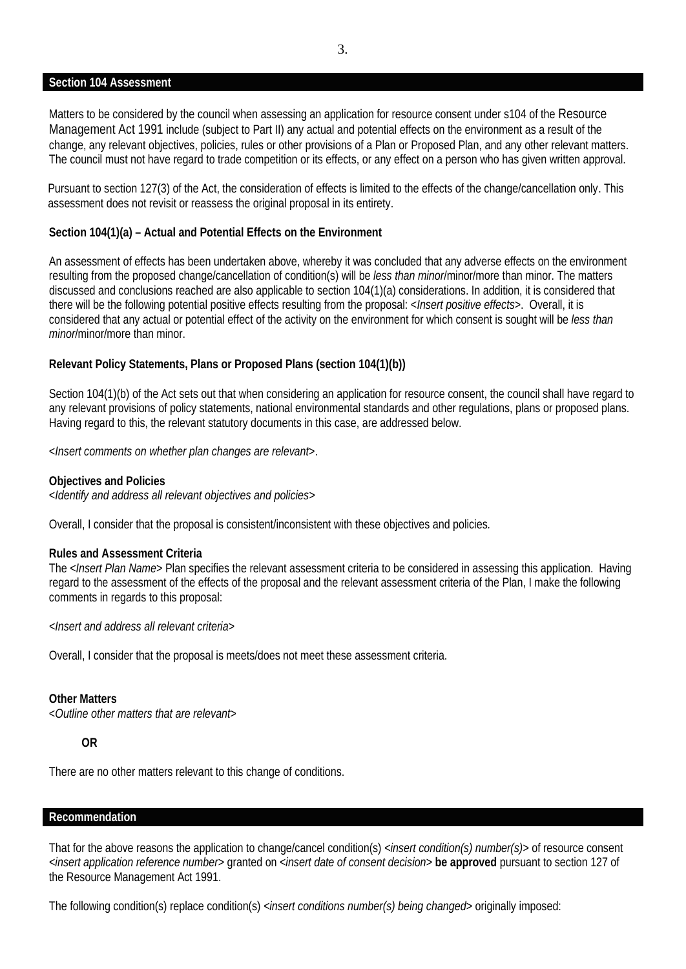#### **Section 104 Assessment**

Matters to be considered by the council when assessing an application for resource consent under s104 of the Resource Management Act 1991 include (subject to Part II) any actual and potential effects on the environment as a result of the change, any relevant objectives, policies, rules or other provisions of a Plan or Proposed Plan, and any other relevant matters. The council must not have regard to trade competition or its effects, or any effect on a person who has given written approval.

Pursuant to section 127(3) of the Act, the consideration of effects is limited to the effects of the change/cancellation only. This assessment does not revisit or reassess the original proposal in its entirety.

#### **Section 104(1)(a) – Actual and Potential Effects on the Environment**

An assessment of effects has been undertaken above, whereby it was concluded that any adverse effects on the environment resulting from the proposed change/cancellation of condition(s) will be *less than minor*/minor/more than minor. The matters discussed and conclusions reached are also applicable to section 104(1)(a) considerations. In addition, it is considered that there will be the following potential positive effects resulting from the proposal: <*Insert positive effects*>. Overall, it is considered that any actual or potential effect of the activity on the environment for which consent is sought will be *less than minor*/minor/more than minor.

#### **Relevant Policy Statements, Plans or Proposed Plans (section 104(1)(b))**

Section 104(1)(b) of the Act sets out that when considering an application for resource consent, the council shall have regard to any relevant provisions of policy statements, national environmental standards and other regulations, plans or proposed plans. Having regard to this, the relevant statutory documents in this case, are addressed below.

<*Insert comments on whether plan changes are relevant*>.

#### **Objectives and Policies**

<*Identify and address all relevant objectives and policies>*

Overall, I consider that the proposal is consistent/inconsistent with these objectives and policies*.*

#### **Rules and Assessment Criteria**

The <*Insert Plan Name*> Plan specifies the relevant assessment criteria to be considered in assessing this application. Having regard to the assessment of the effects of the proposal and the relevant assessment criteria of the Plan, I make the following comments in regards to this proposal:

*<Insert and address all relevant criteria*>

Overall, I consider that the proposal is meets/does not meet these assessment criteria.

#### **Other Matters**

<*Outline other matters that are relevant*>

#### **OR**

There are no other matters relevant to this change of conditions.

#### **Recommendation**

That for the above reasons the application to change/cancel condition(s) *<insert condition(s) number(s)>* of resource consent *<insert application reference number>* granted on <*insert date of consent decision>* **be approved** pursuant to section 127 of the Resource Management Act 1991.

The following condition(s) replace condition(s) *<insert conditions number(s) being changed>* originally imposed: